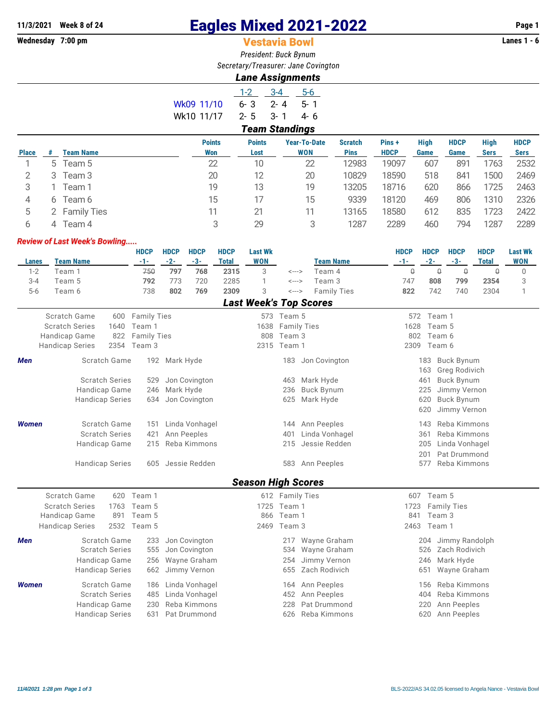# **11/3/2021 Week 8 of 24 Eagles Mixed 2021-2022 Page 1**

## **Vestavia Bowl**

*President: Buck Bynum Secretary/Treasurer: Jane Covington*

### *Lane Assignments*

|                       | $1 - 2$ | $3 - 4$ | 5-6      |  |  |  |  |  |  |  |  |
|-----------------------|---------|---------|----------|--|--|--|--|--|--|--|--|
| Wk09 11/10            | 6-3     | - 2- 4  | $-5 - 1$ |  |  |  |  |  |  |  |  |
| Wk10 11/17            | $2 - 5$ | $-3-1$  | 4-6      |  |  |  |  |  |  |  |  |
| <b>Team Standings</b> |         |         |          |  |  |  |  |  |  |  |  |

|   | <b>Team Name</b>   | <b>Points</b><br>Won | <b>Points</b><br>Lost | <b>Year-To-Date</b><br><b>WON</b> | <b>Scratch</b><br><b>Pins</b> | Pins+<br><b>HDCP</b> | <b>High</b><br>Game | <b>HDCP</b><br>Game | <b>High</b><br><b>Sers</b> | <b>HDCP</b><br><b>Sers</b> |
|---|--------------------|----------------------|-----------------------|-----------------------------------|-------------------------------|----------------------|---------------------|---------------------|----------------------------|----------------------------|
|   | Team 5             | 22                   | 10                    | 22                                | 12983                         | 19097                | 607                 | 891                 | 1763                       | 2532                       |
| 3 | Team 3             | 20                   | 12                    | 20                                | 10829                         | 18590                | 518                 | 841                 | 1500                       | 2469                       |
|   | Team 1             | 19                   | 13                    | 19                                | 13205                         | 18716                | 620                 | 866                 | 1725                       | 2463                       |
| 6 | Team 6             | 15                   |                       | 15                                | 9339                          | 18120                | 469                 | 806                 | 1310                       | 2326                       |
|   | <b>Family Ties</b> | 11                   |                       | 11                                | 13165                         | 18580                | 612                 | 835                 | 1723                       | 2422                       |
| 4 | Team 4             | 3                    | 29                    | 3                                 | 1287                          | 2289                 | 460                 | 794                 | 1287                       | 2289                       |
|   |                    | 5                    |                       |                                   |                               |                      |                     |                     |                            |                            |

#### *Review of Last Week's Bowling.....*

|         |                       |      | <b>HDCP</b>        | <b>HDCP</b> | <b>HDCP</b> | <b>HDCP</b> | <b>Last Wk</b> |                               |                    | <b>HDCP</b> | <b>HDCP</b> | <b>HDCP</b> | <b>HDCP</b> | <b>Last Wk</b> |
|---------|-----------------------|------|--------------------|-------------|-------------|-------------|----------------|-------------------------------|--------------------|-------------|-------------|-------------|-------------|----------------|
| Lanes   | <b>Team Name</b>      |      | -1-                | -2-         | -3-         | Total       | <b>WON</b>     |                               | <b>Team Name</b>   | $-1-$       | $-2-$       | $-3-$       | Total       | <b>WON</b>     |
| $1-2$   | Feam 1                |      | 750                | 797         | 768         | 2315        | 3              | <--->                         | Team 4             |             | U           | Q           |             |                |
| $3 - 4$ | Team 5                |      | 792                | 773         | 720         | 2285        |                | $\leftarrow$ $\rightarrow$    | Team 3             | 747         | 808         | 799         | 2354        |                |
| $5 - 6$ | Геат 6                |      | 738                | 802         | 769         | 2309        | 3              | <--->                         | <b>Family Ties</b> | 822         | 742         | 740         | 2304        |                |
|         |                       |      |                    |             |             |             |                | <b>Last Week's Top Scores</b> |                    |             |             |             |             |                |
|         | Scratch Game          | 600  | <b>Family Ties</b> |             |             |             | 573            | Team 5                        |                    |             | 572 Team 1  |             |             |                |
|         | <b>Scratch Series</b> | 1640 | Team 1             |             |             |             | 1638           | <b>Family Ties</b>            |                    | 1628        | Team 5      |             |             |                |

|              | <b>Handicap Game</b>   | 822 Family Ties |                   | 808 Team 3  |                   | 802  | Team 6                                  |
|--------------|------------------------|-----------------|-------------------|-------------|-------------------|------|-----------------------------------------|
|              | <b>Handicap Series</b> | 2354 Team 3     |                   | 2315 Team 1 |                   | 2309 | Team 6                                  |
| Men          | Scratch Game           |                 | 192 Mark Hyde     | 183         | Jon Covington     |      | Buck Bynum<br>183.<br>163 Greg Rodivich |
|              | <b>Scratch Series</b>  | 529             | Jon Covington     | 463         | Mark Hyde         |      | Buck Bynum<br>461                       |
|              | Handicap Game          |                 | 246 Mark Hyde     | 236         | <b>Buck Bynum</b> |      | Jimmy Vernon<br>225                     |
|              | <b>Handicap Series</b> |                 | 634 Jon Covington | 625         | Mark Hyde         |      | 620 Buck Bynum                          |
|              |                        |                 |                   |             |                   |      | Jimmy Vernon<br>620                     |
| <b>Women</b> | Scratch Game           | 151             | Linda Vonhagel    | 144         | Ann Peeples       |      | Reba Kimmons<br>143                     |
|              | <b>Scratch Series</b>  | 421             | Ann Peeples       | 401         | Linda Vonhagel    |      | 361 Reba Kimmons                        |
|              | Handicap Game          | 215             | Reba Kimmons      | 215         | Jessie Redden     |      | 205 Linda Vonhagel                      |
|              |                        |                 |                   |             |                   |      | Pat Drummond<br>201                     |
|              | <b>Handicap Series</b> | 605             | Jessie Redden     | 583         | Ann Peeples       |      | Reba Kimmons<br>577                     |

## *Season High Scores*

|              | <b>OCASUN THUM OLUICS</b>  |              |             |                    |     |             |                   |     |                       |  |  |  |  |
|--------------|----------------------------|--------------|-------------|--------------------|-----|-------------|-------------------|-----|-----------------------|--|--|--|--|
|              | Scratch Game<br>620 Team 1 |              |             | 612 Family Ties    | 607 | Team 5      |                   |     |                       |  |  |  |  |
|              | <b>Scratch Series</b>      |              | 1763 Team 5 | 1725 Team 1        |     |             |                   |     | 1723 Family Ties      |  |  |  |  |
|              | Handicap Game              | 891          | Team 5      |                    |     | 866 Team 1  |                   | 841 | Team 3                |  |  |  |  |
|              | <b>Handicap Series</b>     |              | 2532 Team 5 |                    |     | 2469 Team 3 |                   |     | 2463 Team 1           |  |  |  |  |
| Men          |                            | Scratch Game | 233         | Jon Covington      |     | 217         | Wayne Graham      |     | Jimmy Randolph<br>204 |  |  |  |  |
|              | <b>Scratch Series</b>      |              |             | 555 Jon Covington  |     |             | 534 Wayne Graham  |     | 526 Zach Rodivich     |  |  |  |  |
|              | Handicap Game              |              |             | 256 Wayne Graham   |     |             | 254 Jimmy Vernon  |     | 246 Mark Hyde         |  |  |  |  |
|              | <b>Handicap Series</b>     |              |             | 662 Jimmy Vernon   |     |             | 655 Zach Rodivich |     | Wayne Graham<br>651   |  |  |  |  |
| <b>Women</b> |                            | Scratch Game | 186         | Linda Vonhagel     |     | 164         | Ann Peeples       |     | Reba Kimmons<br>156   |  |  |  |  |
|              | <b>Scratch Series</b>      |              |             | 485 Linda Vonhagel |     |             | 452 Ann Peeples   |     | 404 Reba Kimmons      |  |  |  |  |
|              | Handicap Game              |              | 230         | Reba Kimmons       |     | 228         | Pat Drummond      |     | Ann Peeples<br>220    |  |  |  |  |
|              | <b>Handicap Series</b>     |              | 631         | Pat Drummond       |     |             | 626 Reba Kimmons  |     | Ann Peeples<br>620    |  |  |  |  |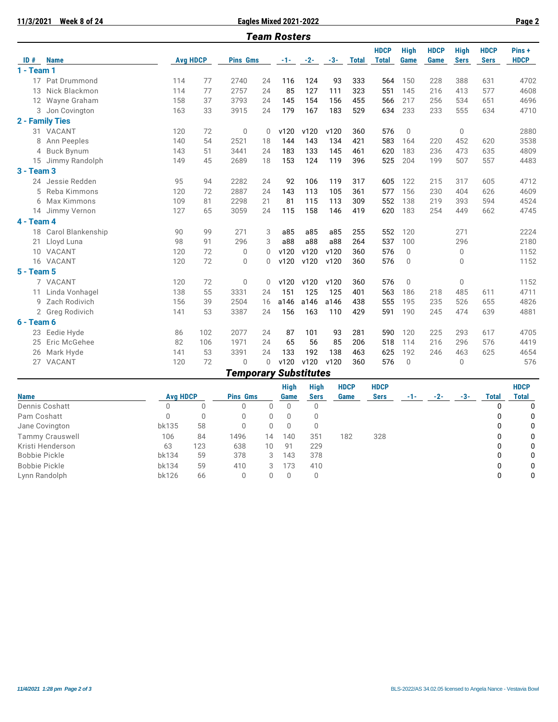| 11/3/2021 Week 8 of 24 |
|------------------------|

**12/3/2021 Eagles Mixed 2021-2022 Page 2** 

|                   | <b>Team Rosters</b>  |                 |     |                 |              |       |             |       |              |                             |                            |                            |                            |                            |                      |
|-------------------|----------------------|-----------------|-----|-----------------|--------------|-------|-------------|-------|--------------|-----------------------------|----------------------------|----------------------------|----------------------------|----------------------------|----------------------|
| ID#               | <b>Name</b>          | <b>Avg HDCP</b> |     | <b>Pins Gms</b> |              | $-1-$ | $-2-$       | $-3-$ | <b>Total</b> | <b>HDCP</b><br><b>Total</b> | <b>High</b><br><b>Game</b> | <b>HDCP</b><br><b>Game</b> | <b>High</b><br><b>Sers</b> | <b>HDCP</b><br><b>Sers</b> | Pins+<br><b>HDCP</b> |
| $1 - Team 1$      |                      |                 |     |                 |              |       |             |       |              |                             |                            |                            |                            |                            |                      |
|                   | 17 Pat Drummond      | 114             | 77  | 2740            | 24           | 116   | 124         | 93    | 333          | 564                         | 150                        | 228                        | 388                        | 631                        | 4702                 |
|                   | 13 Nick Blackmon     | 114             | 77  | 2757            | 24           | 85    | 127         | 111   | 323          | 551                         | 145                        | 216                        | 413                        | 577                        | 4608                 |
|                   | 12 Wayne Graham      | 158             | 37  | 3793            | 24           | 145   | 154         | 156   | 455          | 566                         | 217                        | 256                        | 534                        | 651                        | 4696                 |
|                   | 3 Jon Covington      | 163             | 33  | 3915            | 24           | 179   | 167         | 183   | 529          | 634                         | 233                        | 233                        | 555                        | 634                        | 4710                 |
|                   | 2 - Family Ties      |                 |     |                 |              |       |             |       |              |                             |                            |                            |                            |                            |                      |
|                   | 31 VACANT            | 120             | 72  | $\mathbf 0$     | $\mathbf{0}$ | v120  | v120        | v120  | 360          | 576                         | 0                          |                            | 0                          |                            | 2880                 |
| 8                 | Ann Peeples          | 140             | 54  | 2521            | 18           | 144   | 143         | 134   | 421          | 583                         | 164                        | 220                        | 452                        | 620                        | 3538                 |
|                   | 4 Buck Bynum         | 143             | 51  | 3441            | 24           | 183   | 133         | 145   | 461          | 620                         | 183                        | 236                        | 473                        | 635                        | 4809                 |
|                   | 15 Jimmy Randolph    | 149             | 45  | 2689            | 18           | 153   | 124         | 119   | 396          | 525                         | 204                        | 199                        | 507                        | 557                        | 4483                 |
| <b>3 - Team 3</b> |                      |                 |     |                 |              |       |             |       |              |                             |                            |                            |                            |                            |                      |
|                   | 24 Jessie Redden     | 95              | 94  | 2282            | 24           | 92    | 106         | 119   | 317          | 605                         | 122                        | 215                        | 317                        | 605                        | 4712                 |
|                   | 5 Reba Kimmons       | 120             | 72  | 2887            | 24           | 143   | 113         | 105   | 361          | 577                         | 156                        | 230                        | 404                        | 626                        | 4609                 |
|                   | 6 Max Kimmons        | 109             | 81  | 2298            | 21           | 81    | 115         | 113   | 309          | 552                         | 138                        | 219                        | 393                        | 594                        | 4524                 |
|                   | 14 Jimmy Vernon      | 127             | 65  | 3059            | 24           | 115   | 158         | 146   | 419          | 620                         | 183                        | 254                        | 449                        | 662                        | 4745                 |
| 4 - Team 4        |                      |                 |     |                 |              |       |             |       |              |                             |                            |                            |                            |                            |                      |
|                   | 18 Carol Blankenship | 90              | 99  | 271             | 3            | a85   | a85         | a85   | 255          | 552                         | 120                        |                            | 271                        |                            | 2224                 |
| $21 -$            | Lloyd Luna           | 98              | 91  | 296             | 3            | a88   | a88         | a88   | 264          | 537                         | 100                        |                            | 296                        |                            | 2180                 |
|                   | 10 VACANT            | 120             | 72  | $\mathbf{0}$    | $\Omega$     | v120  | v120        | v120  | 360          | 576                         | $\mathbf{0}$               |                            | 0                          |                            | 1152                 |
|                   | 16 VACANT            | 120             | 72  | $\Omega$        | $\Omega$     | v120  | v120        | v120  | 360          | 576                         | $\mathbf 0$                |                            | $\Omega$                   |                            | 1152                 |
| <b>5 - Team 5</b> |                      |                 |     |                 |              |       |             |       |              |                             |                            |                            |                            |                            |                      |
|                   | 7 VACANT             | 120             | 72  | $\Omega$        | $\Omega$     | v120  | v120        | v120  | 360          | 576                         | $\Omega$                   |                            | 0                          |                            | 1152                 |
|                   | 11 Linda Vonhagel    | 138             | 55  | 3331            | 24           | 151   | 125         | 125   | 401          | 563                         | 186                        | 218                        | 485                        | 611                        | 4711                 |
|                   | 9 Zach Rodivich      | 156             | 39  | 2504            | 16           | a146  | a146        | a146  | 438          | 555                         | 195                        | 235                        | 526                        | 655                        | 4826                 |
|                   | 2 Greg Rodivich      | 141             | 53  | 3387            | 24           | 156   | 163         | 110   | 429          | 591                         | 190                        | 245                        | 474                        | 639                        | 4881                 |
| $6 - Team 6$      |                      |                 |     |                 |              |       |             |       |              |                             |                            |                            |                            |                            |                      |
|                   | 23 Eedie Hyde        | 86              | 102 | 2077            | 24           | 87    | 101         | 93    | 281          | 590                         | 120                        | 225                        | 293                        | 617                        | 4705                 |
| 25                | Eric McGehee         | 82              | 106 | 1971            | 24           | 65    | 56          | 85    | 206          | 518                         | 114                        | 216                        | 296                        | 576                        | 4419                 |
|                   | 26 Mark Hyde         | 141             | 53  | 3391            | 24           | 133   | 192         | 138   | 463          | 625                         | 192                        | 246                        | 463                        | 625                        | 4654                 |
|                   | 27 VACANT            | 120             | 72  | $\mathbf{0}$    | $\Omega$     | v120  | v120        | v120  | 360          | 576                         | $\overline{0}$             |                            | 0                          |                            | 576                  |
|                   |                      |                 |     |                 |              | A.J   | $-121 - 12$ |       |              |                             |                            |                            |                            |                            |                      |

*Temporary Substitutes*

|                        |                 |     |                 |    | <b>High</b> | High        | <b>HDCP</b> | <b>HDCP</b> |     |     |       |       | <b>HDCP</b>  |  |
|------------------------|-----------------|-----|-----------------|----|-------------|-------------|-------------|-------------|-----|-----|-------|-------|--------------|--|
| <b>Name</b>            | <b>Avg HDCP</b> |     | <b>Pins Gms</b> |    | Game        | <b>Sers</b> | Game        | <b>Sers</b> | -1- | -2- | $-3-$ | Total | <b>Total</b> |  |
| Dennis Coshatt         |                 |     | 0               |    |             | 0           |             |             |     |     |       |       | 0            |  |
| Pam Coshatt            |                 |     | 0               |    | 0           |             |             |             |     |     |       | 0     | 0            |  |
| Jane Covington         | bk135           | 58  | 0               |    | 0           |             |             |             |     |     |       | 0     | 0            |  |
| <b>Tammy Crauswell</b> | 106             | 84  | 1496            | 14 | 140         | 351         | 182         | 328         |     |     |       | 0     | 0            |  |
| Kristi Henderson       | 63              | 123 | 638             | 10 | 91          | 229         |             |             |     |     |       | 0     | 0            |  |
| Bobbie Pickle          | bk134           | 59  | 378             | 3  | 143         | 378         |             |             |     |     |       | 0     | $\Omega$     |  |
| Bobbie Pickle          | bk134           | 59  | 410             | 3  | 173         | 410         |             |             |     |     |       | 0     | $\Omega$     |  |
| Lynn Randolph          | bk126           | 66  | 0               |    | $\Omega$    | 0           |             |             |     |     |       | 0     | 0            |  |